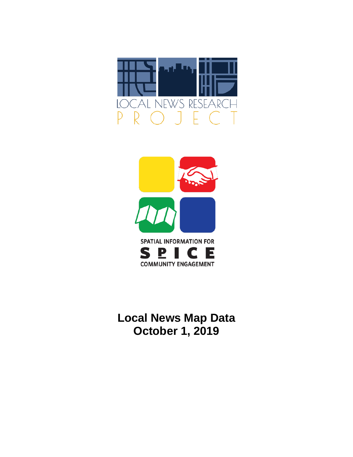



**Local News Map Data October 1, 2019**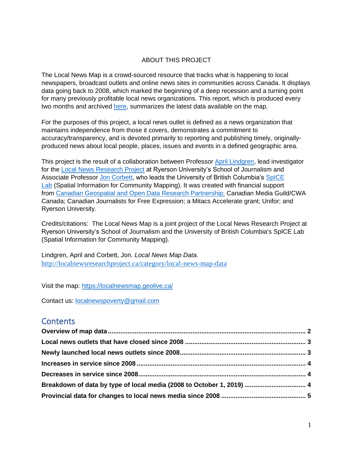## ABOUT THIS PROJECT

The Local News Map is a crowd-sourced resource that tracks what is happening to local newspapers, broadcast outlets and online news sites in communities across Canada. It displays data going back to 2008, which marked the beginning of a deep recession and a turning point for many previously profitable local news organizations. This report, which is produced every two months and archived [here,](http://localnewsresearchproject.ca/category/local-news-map-data) summarizes the latest data available on the map.

For the purposes of this project, a local news outlet is defined as a news organization that maintains independence from those it covers, demonstrates a commitment to accuracy/transparency, and is devoted primarily to reporting and publishing timely, originallyproduced news about local people, places, issues and events in a defined geographic area.

This project is the result of a collaboration between Professor [April Lindgren,](http://rsj.journalism.ryerson.ca/team/april-lindgren/) lead investigator for the [Local News Research Project](http://localnewsresearchproject.ca/) at Ryerson University's School of Journalism and Associate Professor [Jon Corbett,](http://joncorbett.com/JonCorbett/Home.html) who leads the University of British Columbia's SpICE [Lab](http://spice.geolive.ca/) (Spatial Information for Community Mapping). It was created with financial support from [Canadian Geospatial and Open Data Research Partnership;](http://geothink.ca/) Canadian Media Guild/CWA Canada; Canadian Journalists for Free Expression; a Mitacs Accelerate grant; Unifor; and Ryerson University.

Credits/citations: The Local News Map is a joint project of the Local News Research Project at Ryerson University's School of Journalism and the University of British Columbia's SpICE Lab (Spatial Information for Community Mapping).

Lindgren, April and Corbett, Jon. *Local News Map Data.*  <http://localnewsresearchproject.ca/category/local-news-map-data>

Visit the map:<https://localnewsmap.geolive.ca/>

Contact us: [localnewspoverty@gmail.com](mailto:localnewspoverty@gmail.com)

# **Contents**

| Breakdown of data by type of local media (2008 to October 1, 2019)  4 |  |
|-----------------------------------------------------------------------|--|
|                                                                       |  |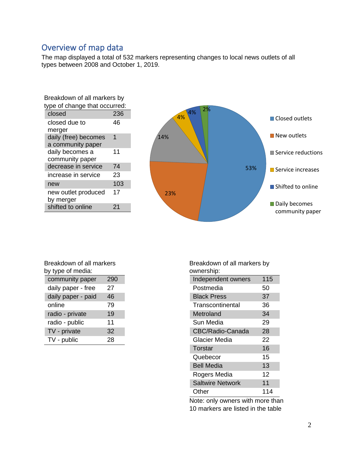# <span id="page-2-0"></span>Overview of map data

The map displayed a total of 532 markers representing changes to local news outlets of all types between 2008 and October 1, 2019.

| Breakdown of all markers by               |     |  |
|-------------------------------------------|-----|--|
| type of change that occurred:             |     |  |
| closed                                    | 236 |  |
| closed due to<br>merger                   | 46  |  |
| daily (free) becomes<br>a community paper | 1   |  |
| daily becomes a<br>community paper        | 11  |  |
| decrease in service                       | 74  |  |
| increase in service                       | 23  |  |
| new                                       | 103 |  |
| new outlet produced<br>by merger          | 17  |  |
| shifted to online                         | 21  |  |



| Breakdown of all markers |     |  |  |
|--------------------------|-----|--|--|
| by type of media:        |     |  |  |
| community paper          | 290 |  |  |

| community paper    | 290 |
|--------------------|-----|
| daily paper - free | 27  |
| daily paper - paid | 46  |
| online             | 79  |
| radio - private    | 19  |
| radio - public     | 11  |
| TV - private       | 32  |
| TV - public        | 28  |

Breakdown of all markers by ownership:

| uwuuna uup.             |     |
|-------------------------|-----|
| Independent owners      | 115 |
| Postmedia               | 50  |
| <b>Black Press</b>      | 37  |
| Transcontinental        | 36  |
| Metroland               | 34  |
| Sun Media               | 29  |
| CBC/Radio-Canada        | 28  |
| Glacier Media           | 22  |
| Torstar                 | 16  |
| Quebecor                | 15  |
| <b>Bell Media</b>       | 13  |
| Rogers Media            | 12  |
| <b>Saltwire Network</b> | 11  |
| Other                   | 114 |

Note: only owners with more than 10 markers are listed in the table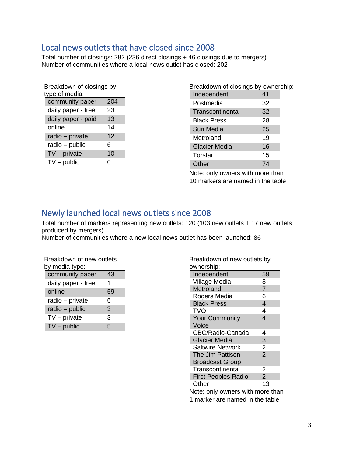# <span id="page-3-0"></span>Local news outlets that have closed since 2008

Total number of closings: 282 (236 direct closings + 46 closings due to mergers) Number of communities where a local news outlet has closed: 202

| Breakdown of closings by<br>type of media: |  |  |  |
|--------------------------------------------|--|--|--|
| 204                                        |  |  |  |
| 23                                         |  |  |  |
| 13                                         |  |  |  |
| 14                                         |  |  |  |
| 12                                         |  |  |  |
| 6                                          |  |  |  |
| 10                                         |  |  |  |
| 0                                          |  |  |  |
|                                            |  |  |  |

| Breakdown of closings by ownership: |    |  |
|-------------------------------------|----|--|
| Independent                         | 41 |  |
| Postmedia                           | 32 |  |
| Transcontinental                    | 32 |  |
| <b>Black Press</b>                  | 28 |  |
| Sun Media                           | 25 |  |
| Metroland                           | 19 |  |
| <b>Glacier Media</b>                | 16 |  |
| Torstar                             | 15 |  |
| Other                               | 74 |  |

Note: only owners with more than 10 markers are named in the table

# <span id="page-3-1"></span>Newly launched local news outlets since 2008

Total number of markers representing new outlets: 120 (103 new outlets + 17 new outlets produced by mergers)

Number of communities where a new local news outlet has been launched: 86

| Breakdown of new outlets<br>by media type: |    |  |  |
|--------------------------------------------|----|--|--|
| community paper                            | 43 |  |  |
| daily paper - free                         | 1  |  |  |
| online                                     | 59 |  |  |
| radio - private                            | 6  |  |  |
| radio - public                             | 3  |  |  |
| $TV$ – private                             | 3  |  |  |
| $TV$ – public                              | 5  |  |  |

| Breakdown of new outlets by<br>ownership: |                |  |  |
|-------------------------------------------|----------------|--|--|
| Independent                               | 59             |  |  |
| Village Media                             | 8              |  |  |
| Metroland                                 | $\overline{7}$ |  |  |
| Rogers Media                              | 6              |  |  |
| <b>Black Press</b>                        | $\overline{4}$ |  |  |
| <b>TVO</b>                                | 4              |  |  |
| <b>Your Community</b>                     | $\overline{4}$ |  |  |
| Voice                                     |                |  |  |
| CBC/Radio-Canada                          | 4              |  |  |
| <b>Glacier Media</b>                      | 3              |  |  |
| <b>Saltwire Network</b>                   | $\overline{c}$ |  |  |
| The Jim Pattison                          | $\overline{2}$ |  |  |
| <b>Broadcast Group</b>                    |                |  |  |
| Transcontinental                          | 2              |  |  |
| <b>First Peoples Radio</b>                | $\overline{2}$ |  |  |
| Other                                     | 13             |  |  |
| .                                         |                |  |  |

Note: only owners with more than 1 marker are named in the table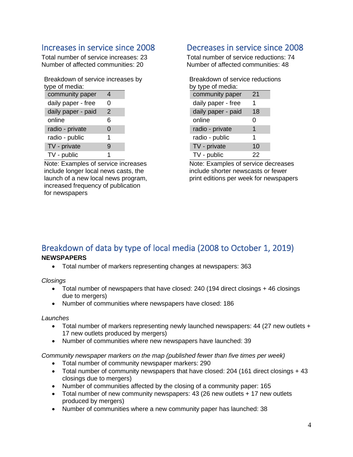# <span id="page-4-0"></span>Increases in service since 2008

Total number of service increases: 23 Number of affected communities: 20

Breakdown of service increases by type of media:

| community paper    | 4              |  |
|--------------------|----------------|--|
| daily paper - free | O              |  |
| daily paper - paid | $\overline{2}$ |  |
| online             | 6              |  |
| radio - private    | 0              |  |
| radio - public     | 1              |  |
| TV - private       | 9              |  |
| TV - public        |                |  |

Note: Examples of service increases include longer local news casts, the launch of a new local news program, increased frequency of publication for newspapers

# <span id="page-4-1"></span>Decreases in service since 2008

Total number of service reductions: 74 Number of affected communities: 48

| Breakdown of service reductions |    |  |  |
|---------------------------------|----|--|--|
| by type of media:               |    |  |  |
| community paper                 | 21 |  |  |
| daily paper - free              | 1  |  |  |
| daily paper - paid              | 18 |  |  |
| online                          | 0  |  |  |
| radio - private                 | 1  |  |  |
| radio - public                  | 1  |  |  |
| TV - private                    | 10 |  |  |
| TV - public                     | 22 |  |  |

Note: Examples of service decreases include shorter newscasts or fewer print editions per week for newspapers

## <span id="page-4-2"></span>Breakdown of data by type of local media (2008 to October 1, 2019) **NEWSPAPERS**

• Total number of markers representing changes at newspapers: 363

*Closings*

- Total number of newspapers that have closed: 240 (194 direct closings + 46 closings due to mergers)
- Number of communities where newspapers have closed: 186

## *Launches*

- Total number of markers representing newly launched newspapers: 44 (27 new outlets + 17 new outlets produced by mergers)
- Number of communities where new newspapers have launched: 39

*Community newspaper markers on the map (published fewer than five times per week)* 

- Total number of community newspaper markers: 290
- Total number of community newspapers that have closed: 204 (161 direct closings + 43 closings due to mergers)
- Number of communities affected by the closing of a community paper: 165
- Total number of new community newspapers: 43 (26 new outlets + 17 new outlets produced by mergers)
- Number of communities where a new community paper has launched: 38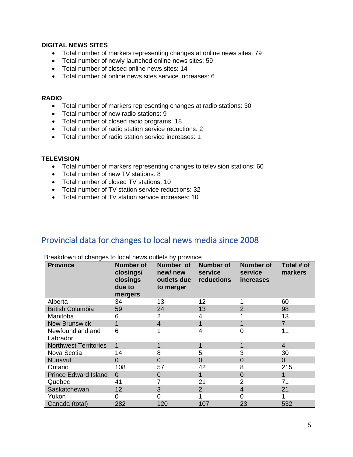## **DIGITAL NEWS SITES**

- Total number of markers representing changes at online news sites: 79
- Total number of newly launched online news sites: 59
- Total number of closed online news sites: 14
- Total number of online news sites service increases: 6

## **RADIO**

- Total number of markers representing changes at radio stations: 30
- Total number of new radio stations: 9
- Total number of closed radio programs: 18
- Total number of radio station service reductions: 2
- Total number of radio station service increases: 1

## **TELEVISION**

- Total number of markers representing changes to television stations: 60
- Total number of new TV stations: 8
- Total number of closed TV stations: 10
- Total number of TV station service reductions: 32
- Total number of TV station service increases: 10

# <span id="page-5-0"></span>Provincial data for changes to local news media since 2008

| <b>Province</b>              | <b>Number of</b><br>closings/<br>closings<br>due to<br>mergers | Number of<br>new/new<br>outlets due<br>to merger | Number of<br>service<br>reductions | <b>Number of</b><br>service<br><i>increases</i> | Total # of<br>markers |
|------------------------------|----------------------------------------------------------------|--------------------------------------------------|------------------------------------|-------------------------------------------------|-----------------------|
| Alberta                      | 34                                                             | 13                                               | 12                                 |                                                 | 60                    |
| <b>British Columbia</b>      | 59                                                             | 24                                               | 13                                 | $\overline{2}$                                  | 98                    |
| Manitoba                     | 6                                                              | 2                                                | 4                                  |                                                 | 13                    |
| <b>New Brunswick</b>         |                                                                | 4                                                |                                    |                                                 | $\overline{7}$        |
| Newfoundland and<br>Labrador | 6                                                              |                                                  | 4                                  | 0                                               | 11                    |
| <b>Northwest Territories</b> | 1                                                              | 1                                                |                                    | 1                                               | $\overline{4}$        |
| Nova Scotia                  | 14                                                             | 8                                                | 5                                  | 3                                               | 30                    |
| Nunavut                      | $\Omega$                                                       | 0                                                | $\Omega$                           | $\overline{0}$                                  | $\overline{0}$        |
| Ontario                      | 108                                                            | 57                                               | 42                                 | 8                                               | 215                   |
| <b>Prince Edward Island</b>  | $\Omega$                                                       | 0                                                |                                    | $\overline{0}$                                  | 1                     |
| Quebec                       | 41                                                             | 7                                                | 21                                 | $\overline{2}$                                  | 71                    |
| Saskatchewan                 | 12                                                             | 3                                                | 2                                  | $\overline{4}$                                  | 21                    |
| Yukon                        | 0                                                              | 0                                                |                                    | 0                                               |                       |
| Canada (total)               | 282                                                            | 120                                              | 107                                | 23                                              | 532                   |

Breakdown of changes to local news outlets by province